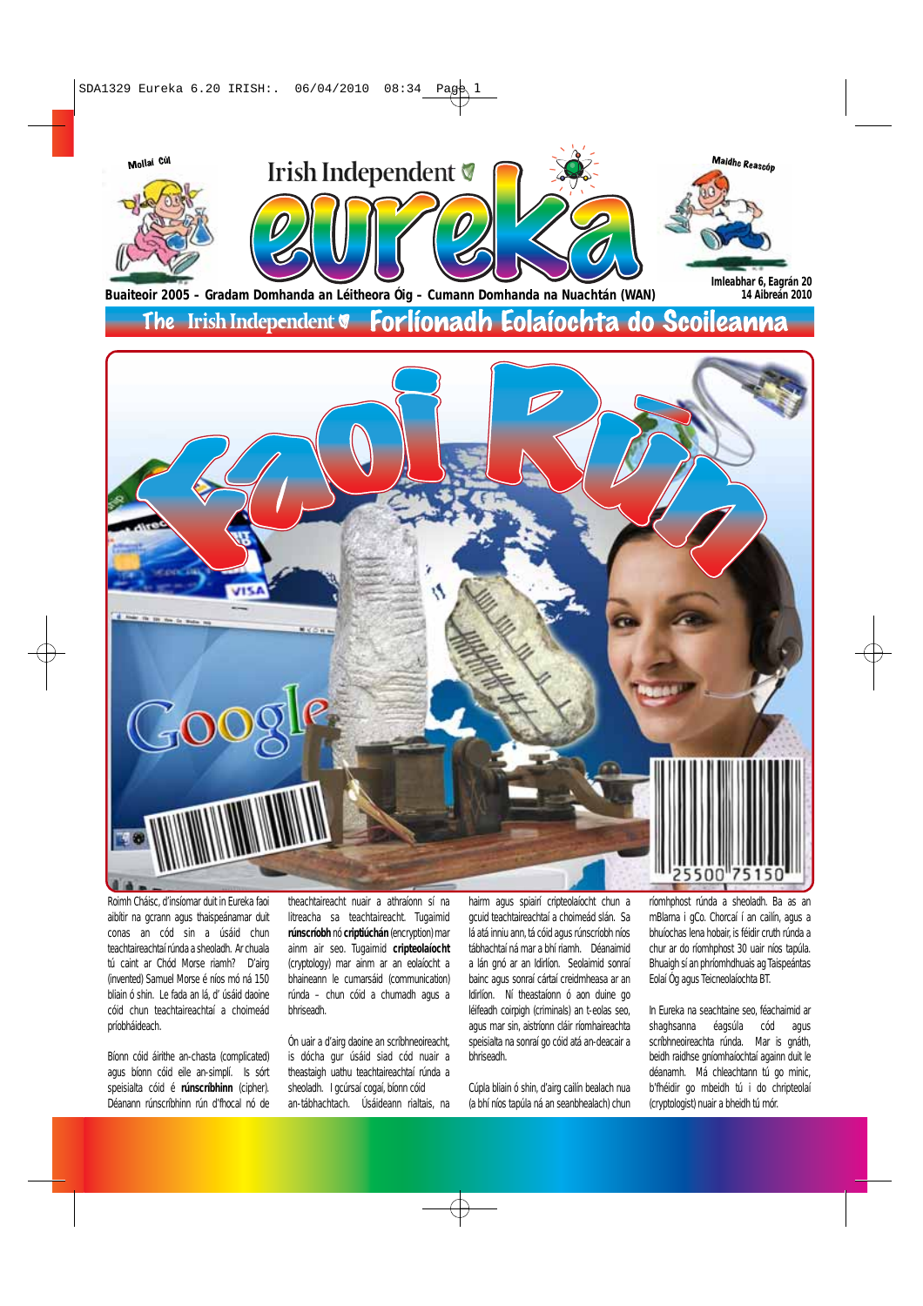

The Irish Independent **v** Forlionadh Eolaíochta do Scoileanna



Roimh Cháisc, d'insíomar duit in Eureka faoi aibítir na gcrann agus thaispeánamar duit conas an cód sin a úsáid chun teachtaireachtaí rúnda a sheoladh. Ar chuala tú caint ar Chód Morse riamh? D'airg (invented) Samuel Morse é níos mó ná 150 bliain ó shin. Le fada an lá, d' úsáid daoine cóid chun teachtaireachtaí a choimeád príobháideach.

Bíonn cóid áirithe an-chasta (complicated) agus bíonn cóid eile an-simplí. Is sórt speisialta cóid é **rúnscríbhinn** (cipher). Déanann rúnscríbhinn rún d'fhocal nó de

theachtaireacht nuair a athraíonn sí na litreacha sa teachtaireacht. Tugaimid **rúnscríobh** nó **criptiúchán** (encryption) mar ainm air seo. Tugaimid **cripteolaíocht** (cryptology) mar ainm ar an eolaíocht a bhaineann le cumarsáid (communication) rúnda – chun cóid a chumadh agus a bhriseadh.

Ón uair a d'airg daoine an scríbhneoireacht, is dócha gur úsáid siad cód nuair a theastaigh uathu teachtaireachtaí rúnda a sheoladh. I gcúrsaí cogaí, bíonn cóid an-tábhachtach. Úsáideann rialtais, na

hairm agus spiairí cripteolaíocht chun a gcuid teachtaireachtaí a choimeád slán. Sa lá atá inniu ann, tá cóid agus rúnscríobh níos tábhachtaí ná mar a bhí riamh. Déanaimid a lán gnó ar an Idirlíon. Seolaimid sonraí bainc agus sonraí cártaí creidmheasa ar an Idirlíon. Ní theastaíonn ó aon duine go léifeadh coirpigh (criminals) an t-eolas seo, agus mar sin, aistríonn cláir ríomhaireachta speisialta na sonraí go cóid atá an-deacair a bhriseadh.

Cúpla bliain ó shin, d'airg cailín bealach nua (a bhí níos tapúla ná an seanbhealach) chun ríomhphost rúnda a sheoladh. Ba as an mBlarna i gCo. Chorcaí í an cailín, agus a bhuíochas lena hobair, is féidir cruth rúnda a chur ar do ríomhphost 30 uair níos tapúla. Bhuaigh sí an phríomhdhuais ag Taispeántas Eolaí Óg agus Teicneolaíochta BT.

In Eureka na seachtaine seo, féachaimid ar shaghsanna éagsúla cód agus scríbhneoireachta rúnda. Mar is gnáth, beidh raidhse gníomhaíochtaí againn duit le déanamh. Má chleachtann tú go minic, b'fhéidir go mbeidh tú i do chripteolaí (cryptologist) nuair a bheidh tú mór.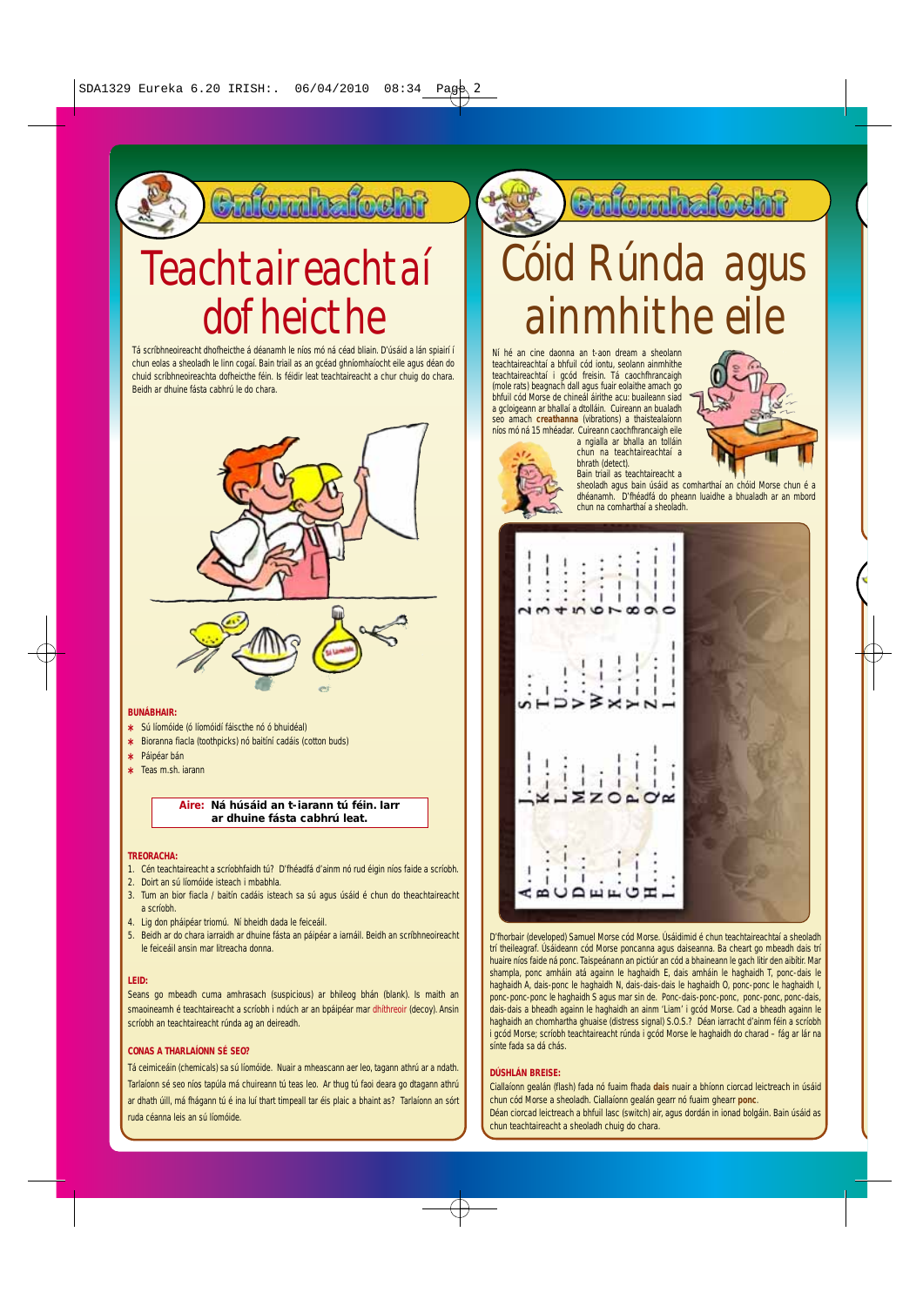### Cafomhafocht

## Teachtaireachtaí dofheicthe

Tá scríbhneoireacht dhofheicthe á déanamh le níos mó ná céad bliain. D'úsáid a lán spiairí í chun eolas a sheoladh le linn cogaí. Bain triail as an gcéad ghníomhaíocht eile agus déan do chuid scríbhneoireachta dofheicthe féin. Is féidir leat teachtaireacht a chur chuig do chara. Beidh ar dhuine fásta cabhrú le do chara.





#### **BUNÁBHAIR:**

- **\*** Sú líomóide (ó líomóidí fáiscthe nó ó bhuidéal)
- **\*** Bioranna fiacla (toothpicks) nó baitíní cadáis (cotton buds)
- **\*** Páipéar bán
- **\*** Teas m.sh. iarann

### **Aire: Ná húsáid an t-iarann tú féin. Iarr ar dhuine fásta cabhrú leat.**

#### **TREORACHA:**

- 1. Cén teachtaireacht a scríobhfaidh tú? D'fhéadfá d'ainm nó rud éigin níos faide a scríobh.
- 2. Doirt an sú líomóide isteach i mbabhla.
- 3. Tum an bior fiacla / baitín cadáis isteach sa sú agus úsáid é chun do theachtaireacht a scríobh.
- 4. Lig don pháipéar triomú. Ní bheidh dada le feiceáil.
- 5. Beidh ar do chara iarraidh ar dhuine fásta an páipéar a iarnáil. Beidh an scríbhneoireacht le feiceáil ansin mar litreacha donna.

### **LEID:**

Seans go mbeadh cuma amhrasach (suspicious) ar bhileog bhán (blank). Is maith an smaoineamh é teachtaireacht a scríobh i ndúch ar an bpáipéar mar dhíthreoir (decoy). Ansin scríobh an teachtaireacht rúnda ag an deireadh.

### **CONAS A THARLAÍONN SÉ SEO?**

Tá ceimiceáin (chemicals) sa sú líomóide. Nuair a mheascann aer leo, tagann athrú ar a ndath. Tarlaíonn sé seo níos tapúla má chuireann tú teas leo. Ar thug tú faoi deara go dtagann athrú ar dhath úill, má fhágann tú é ina luí thart timpeall tar éis plaic a bhaint as? Tarlaíonn an sórt ruda céanna leis an sú líomóide.

### **Enfornhafocht**

## Cóid Rúnda agus ainmhithe eile

Ní hé an cine daonna an t-aon dream a sheolann teachtaireachtaí a bhfuil cód iontu, seolann ainmhithe teachtaireachtaí i gcód freisin. Tá caochfhrancaigh (mole rats) beagnach dall agus fuair eolaithe amach go bhfuil cód Morse de chineál áirithe acu: buaileann siad a gcloigeann ar bhallaí a dtolláin. Cuireann an bualadh seo amach **creathanna** (vibrations) a thaistealaíonn níos mó ná 15 mhéadar. Cuireann caochfhrancaigh eile a ngialla ar bhalla an tolláin



chun na teachtaireachtaí a bhrath (detect).

Bain triail as teachtaireacht a sheoladh agus bain úsáid as comharthaí an chóid Morse chun é a dhéanamh. D'fhéadfá do pheann luaidhe a bhualadh ar an mbord chun na comharthaí a sheoladh.



D'fhorbair (developed) Samuel Morse cód Morse. Úsáidimid é chun teachtaireachtaí a sheoladh trí theileagraf. Úsáideann cód Morse poncanna agus daiseanna. Ba cheart go mbeadh dais trí huaire níos faide ná ponc. Taispeánann an pictiúr an cód a bhaineann le gach litir den aibítir. Mar shampla, ponc amháin atá againn le haghaidh E, dais amháin le haghaidh T, ponc-dais le haghaidh A, dais-ponc le haghaidh N, dais-dais-dais le haghaidh O, ponc-ponc le haghaidh I, ponc-ponc-ponc le haghaidh S agus mar sin de. Ponc-dais-ponc-ponc, ponc-ponc, ponc-dais, dais-dais a bheadh againn le haghaidh an ainm 'Liam' i gcód Morse. Cad a bheadh againn le haghaidh an chomhartha ghuaise (distress signal) S.O.S.? Déan iarracht d'ainm féin a scríobh i gcód Morse; scríobh teachtaireacht rúnda i gcód Morse le haghaidh do charad – fág ar lár na sínte fada sa dá chás.

#### **DÚSHLÁN BREISE:**

Ciallaíonn gealán (flash) fada nó fuaim fhada **dais** nuair a bhíonn ciorcad leictreach in úsáid chun cód Morse a sheoladh. Ciallaíonn gealán gearr nó fuaim ghearr **ponc**. Déan ciorcad leictreach a bhfuil lasc (switch) air, agus dordán in ionad bolgáin. Bain úsáid as chun teachtaireacht a sheoladh chuig do chara.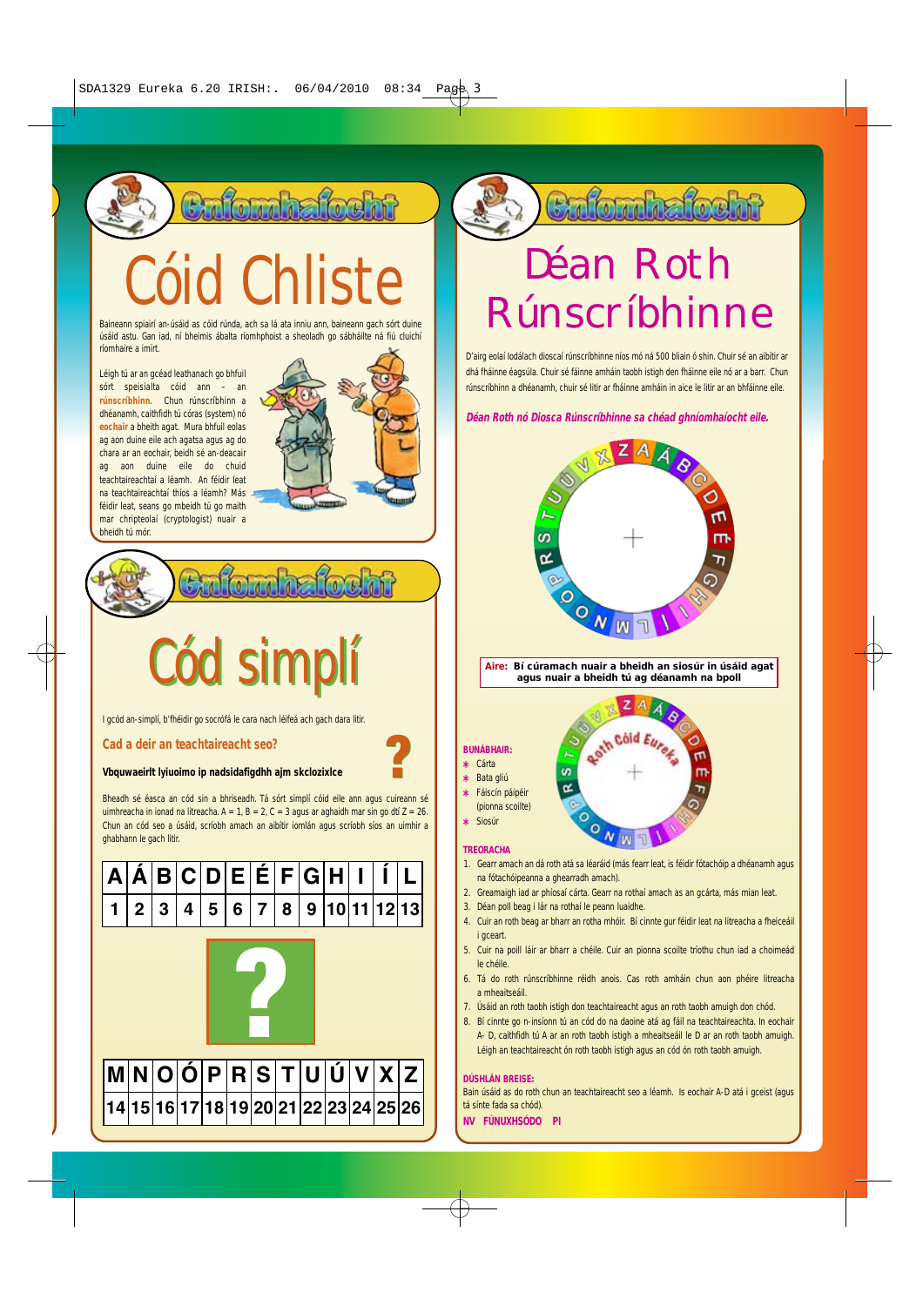**Eulomhafocht** 

# Cóid Chliste

Baineann spiairí an-úsáid as cóid rúnda, ach sa lá ata inniu ann, baineann gach sórt duine úsáid astu. Gan iad, ní bheimis ábalta ríomhphoist a sheoladh go sábháilte ná fiú cluichí ríomhaire a imirt.

Léigh tú ar an gcéad leathanach go bhfuil sórt speisialta cóid ann – an **rúnscríbhinn**. Chun rúnscríbhinn a dhéanamh, caithfidh tú córas (system) nó **eochair** a bheith agat. Mura bhfuil eolas ag aon duine eile ach agatsa agus ag do chara ar an eochair, beidh sé an-deacair ag aon duine eile do chuid teachtaireachtaí a léamh. An féidir leat na teachtaireachtaí thíos a léamh? Más féidir leat, seans go mbeidh tú go maith mar chripteolaí (cryptologist) nuair a bheidh tú mór.



Cód simplí Cód simplí

**O** 

I gcód an-simplí, b'fhéidir go socrófá le cara nach léifeá ach gach dara litir.

**Cad a deir an teachtaireacht seo?** 

### **Vbquwaeirlt lyiuoimo ip nadsidafigdhh ajm skclozixlce**

Bheadh sé éasca an cód sin a bhriseadh. Tá sórt simplí cóid eile ann agus cuireann sé uimhreacha in ionad na litreacha.  $A = 1$ ,  $B = 2$ ,  $C = 3$  agus ar aghaidh mar sin go dtí  $Z = 26$ . Chun an cód seo a úsáid, scríobh amach an aibítir iomlán agus scríobh síos an uimhir a ghabhann le gach litir.



Culomhafocht

### Déan Roth Rúnscríbhinne

D'airg eolaí Iodálach dioscaí rúnscríbhinne níos mó ná 500 bliain ó shin. Chuir sé an aibítir ar dhá fháinne éagsúla. Chuir sé fáinne amháin taobh istigh den fháinne eile nó ar a barr. Chun rúnscríbhinn a dhéanamh, chuir sé litir ar fháinne amháin in aice le litir ar an bhfáinne eile.

**Déan Roth nó Diosca Rúnscríbhinne sa chéad ghníomhaíocht eile.**



**Aire: Bí cúramach nuair a bheidh an siosúr in úsáid agat agus nuair a bheidh tú ag déanamh na bpoll** z





### **TREORACHA**

**\*** Siosúr

? ?

- 1. Gearr amach an dá roth atá sa léaráid (más fearr leat, is féidir fótachóip a dhéanamh agus na fótachóipeanna a ghearradh amach).
- 2. Greamaigh iad ar phíosaí cárta. Gearr na rothaí amach as an gcárta, más mian leat.

 $N_{\text{NN}}$ 

- 3. Déan poll beag i lár na rothaí le peann luaidhe.
- 4. Cuir an roth beag ar bharr an rotha mhóir. Bí cinnte gur féidir leat na litreacha a fheiceáil i gceart.
- 5. Cuir na poill láir ar bharr a chéile. Cuir an pionna scoilte tríothu chun iad a choimeád le chéile.
- 6. Tá do roth rúnscríbhinne réidh anois. Cas roth amháin chun aon phéire litreacha a mheaitseáil.
- 7. Úsáid an roth taobh istigh don teachtaireacht agus an roth taobh amuigh don chód.
- 8. Bí cinnte go n-insíonn tú an cód do na daoine atá ag fáil na teachtaireachta. In eochair A- D, caithfidh tú A ar an roth taobh istigh a mheaitseáil le D ar an roth taobh amuigh. Léigh an teachtaireacht ón roth taobh istigh agus an cód ón roth taobh amuigh.

### **DÚSHLÁN BREISE:**

Bain úsáid as do roth chun an teachtaireacht seo a léamh. Is eochair A-D atá i gceist (agus tá sínte fada sa chód).

**NV FÚNUXHSÓDO PI**